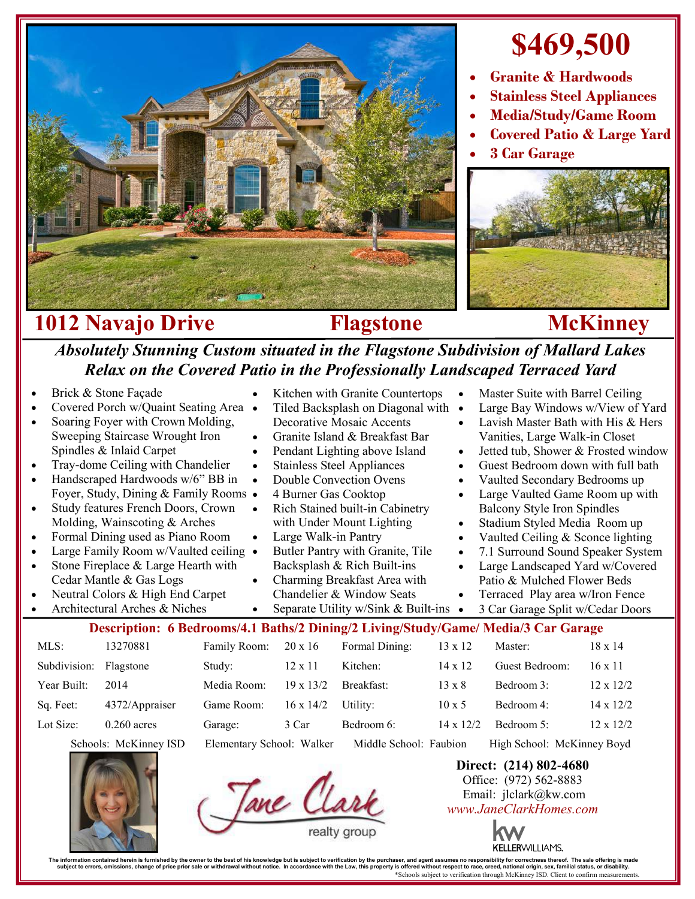

# **\$469,500**

- **Granite & Hardwoods**
- **Stainless Steel Appliances**
- **Media/Study/Game Room**
- **Covered Patio & Large Yard**
- **3 Car Garage**



## **1012 Navajo Drive Flagstone McKinney**

## *Absolutely Stunning Custom situated in the Flagstone Subdivision of Mallard Lakes Relax on the Covered Patio in the Professionally Landscaped Terraced Yard*

| $\bullet$                                                                                                              |              | Brick & Stone Façade<br>Covered Porch w/Quaint Seating Area •<br>Soaring Foyer with Crown Molding,<br>Sweeping Staircase Wrought Iron<br>Spindles & Inlaid Carpet<br>Tray-dome Ceiling with Chandelier<br>Handscraped Hardwoods w/6" BB in<br>Foyer, Study, Dining & Family Rooms •<br>Study features French Doors, Crown<br>Molding, Wainscoting & Arches<br>Formal Dining used as Piano Room<br>Large Family Room w/Vaulted ceiling •<br>Stone Fireplace & Large Hearth with<br>Cedar Mantle & Gas Logs<br>Neutral Colors & High End Carpet<br>Architectural Arches & Niches | $\bullet$<br>$\bullet$<br>$\bullet$<br>$\bullet$<br>$\bullet$<br>$\bullet$<br>$\bullet$ | Kitchen with Granite Countertops<br>$\bullet$<br>Tiled Backsplash on Diagonal with<br>$\bullet$<br><b>Decorative Mosaic Accents</b><br>$\bullet$<br>Granite Island & Breakfast Bar<br>Pendant Lighting above Island<br>$\bullet$<br><b>Stainless Steel Appliances</b><br>$\bullet$<br>Double Convection Ovens<br>$\bullet$<br>4 Burner Gas Cooktop<br>$\bullet$<br>Rich Stained built-in Cabinetry<br>with Under Mount Lighting<br>$\bullet$<br>Large Walk-in Pantry<br>$\bullet$<br>Butler Pantry with Granite, Tile<br>$\bullet$<br>Backsplash & Rich Built-ins<br>$\bullet$<br>Charming Breakfast Area with<br>Chandelier & Window Seats<br>$\bullet$<br>Separate Utility w/Sink & Built-ins • |                |               | Master Suite with Barrel Ceiling<br>Large Bay Windows w/View of Yard<br>Lavish Master Bath with His & Hers<br>Vanities, Large Walk-in Closet<br>Jetted tub, Shower & Frosted window<br>Guest Bedroom down with full bath<br>Vaulted Secondary Bedrooms up<br>Large Vaulted Game Room up with<br><b>Balcony Style Iron Spindles</b><br>Stadium Styled Media Room up<br>Vaulted Ceiling & Sconce lighting<br>7.1 Surround Sound Speaker System<br>Large Landscaped Yard w/Covered<br>Patio & Mulched Flower Beds<br>Terraced Play area w/Iron Fence |                  |
|------------------------------------------------------------------------------------------------------------------------|--------------|--------------------------------------------------------------------------------------------------------------------------------------------------------------------------------------------------------------------------------------------------------------------------------------------------------------------------------------------------------------------------------------------------------------------------------------------------------------------------------------------------------------------------------------------------------------------------------|-----------------------------------------------------------------------------------------|---------------------------------------------------------------------------------------------------------------------------------------------------------------------------------------------------------------------------------------------------------------------------------------------------------------------------------------------------------------------------------------------------------------------------------------------------------------------------------------------------------------------------------------------------------------------------------------------------------------------------------------------------------------------------------------------------|----------------|---------------|---------------------------------------------------------------------------------------------------------------------------------------------------------------------------------------------------------------------------------------------------------------------------------------------------------------------------------------------------------------------------------------------------------------------------------------------------------------------------------------------------------------------------------------------------|------------------|
| 3 Car Garage Split w/Cedar Doors<br>Description: 6 Bedrooms/4.1 Baths/2 Dining/2 Living/Study/Game/ Media/3 Car Garage |              |                                                                                                                                                                                                                                                                                                                                                                                                                                                                                                                                                                                |                                                                                         |                                                                                                                                                                                                                                                                                                                                                                                                                                                                                                                                                                                                                                                                                                   |                |               |                                                                                                                                                                                                                                                                                                                                                                                                                                                                                                                                                   |                  |
|                                                                                                                        | MLS:         | 13270881                                                                                                                                                                                                                                                                                                                                                                                                                                                                                                                                                                       | Family Room:                                                                            | $20 \times 16$                                                                                                                                                                                                                                                                                                                                                                                                                                                                                                                                                                                                                                                                                    | Formal Dining: | 13 x 12       | Master:                                                                                                                                                                                                                                                                                                                                                                                                                                                                                                                                           | $18 \times 14$   |
|                                                                                                                        | Subdivision: | Flagstone                                                                                                                                                                                                                                                                                                                                                                                                                                                                                                                                                                      | Study:                                                                                  | $12 \times 11$                                                                                                                                                                                                                                                                                                                                                                                                                                                                                                                                                                                                                                                                                    | Kitchen:       | 14 x 12       | Guest Bedroom:                                                                                                                                                                                                                                                                                                                                                                                                                                                                                                                                    | $16 \times 11$   |
|                                                                                                                        | Year Built:  | 2014                                                                                                                                                                                                                                                                                                                                                                                                                                                                                                                                                                           | Media Room:                                                                             | $19 \times 13/2$                                                                                                                                                                                                                                                                                                                                                                                                                                                                                                                                                                                                                                                                                  | Breakfast:     | $13 \times 8$ | Bedroom 3:                                                                                                                                                                                                                                                                                                                                                                                                                                                                                                                                        | $12 \times 12/2$ |
|                                                                                                                        | Sq. Feet:    | 4372/Appraiser                                                                                                                                                                                                                                                                                                                                                                                                                                                                                                                                                                 | Game Room:                                                                              | $16 \times 14/2$                                                                                                                                                                                                                                                                                                                                                                                                                                                                                                                                                                                                                                                                                  | Utility:       | $10 \times 5$ | Bedroom 4:                                                                                                                                                                                                                                                                                                                                                                                                                                                                                                                                        | $14 \times 12/2$ |

Lot Size: 0.260 acres Garage: 3 Car Bedroom 6: 14 x 12/2 Bedroom 5: 12 x 12/2

Schools: McKinney ISD Elementary School: Walker Middle School: Faubion High School: McKinney Boyd

### **Direct: (214) 802-4680**

Office: (972) 562-8883 Email: jlclark@kw.com *www.JaneClarkHomes.com*



The information contained heren is furnished by the owner to the best of his knowledge but is usuplect to verification by the purchaser, and agent assumes no responsibility for corrections then incompted in accordance with \*Schools subject to verification through McKinney ISD. Client to confirm measurements.

Tane Cla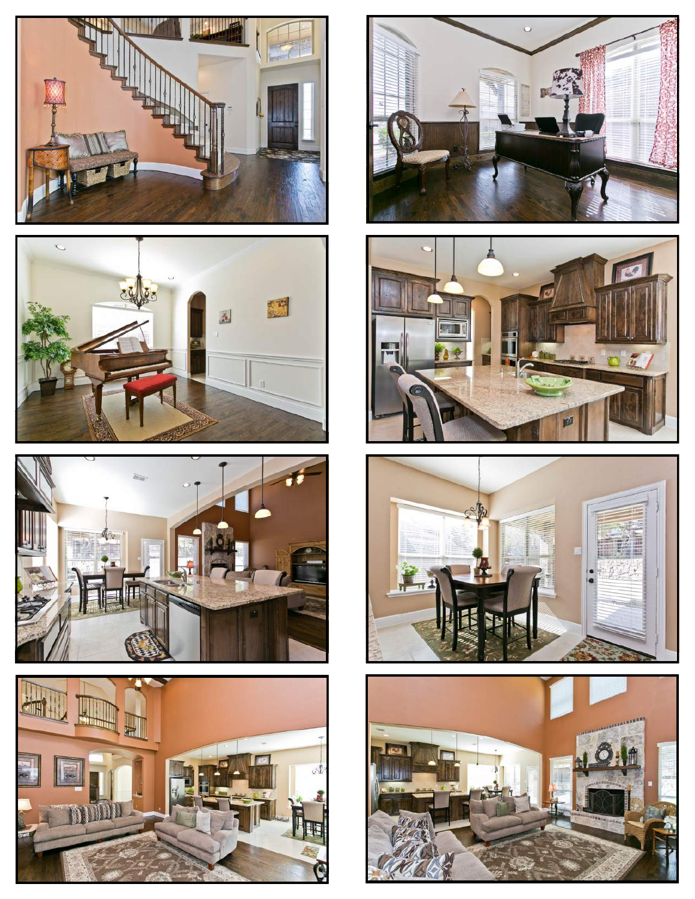













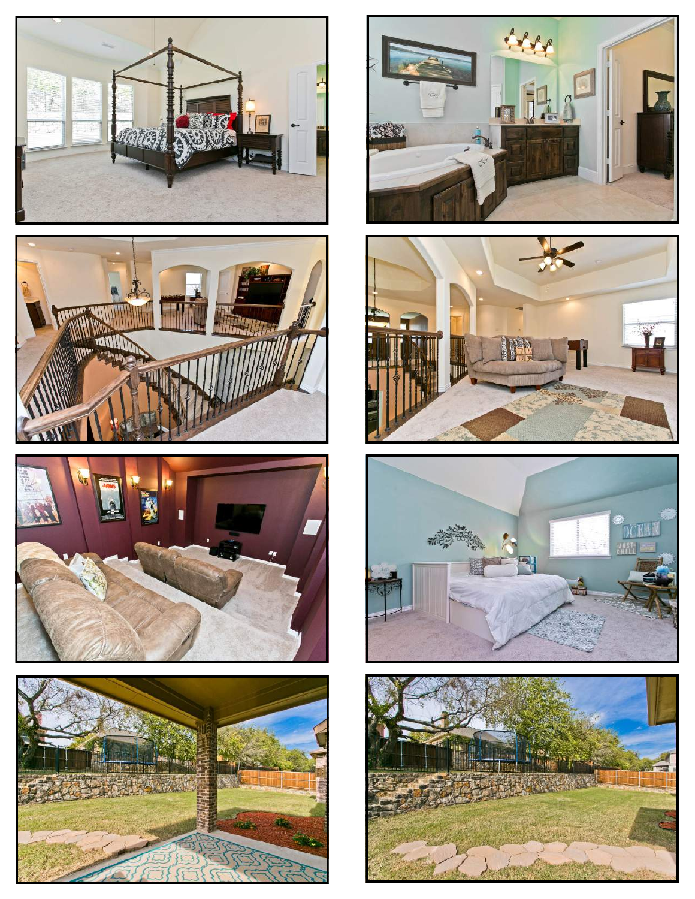